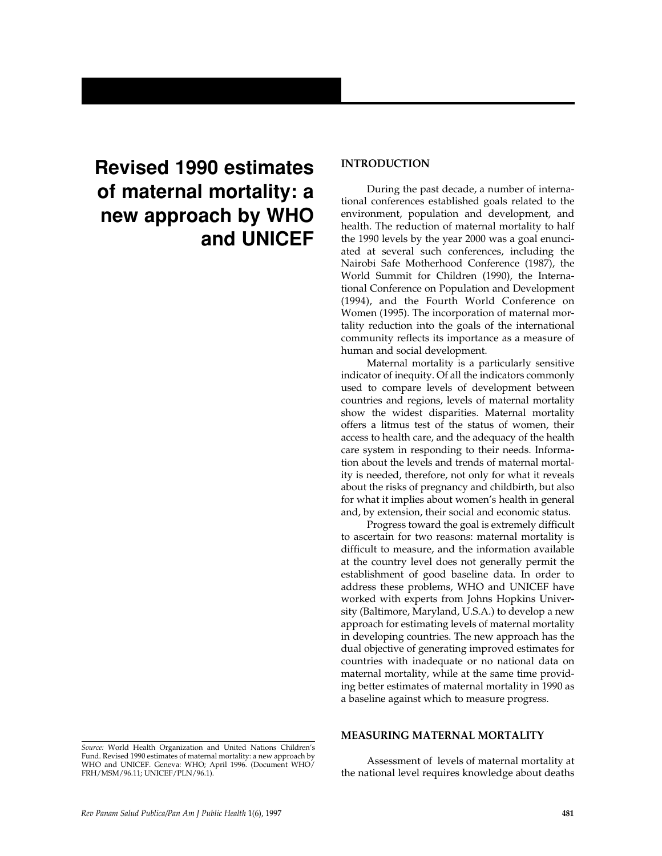# **Revised 1990 estimates of maternal mortality: a new approach by WHO and UNICEF**

# **INTRODUCTION**

During the past decade, a number of international conferences established goals related to the environment, population and development, and health. The reduction of maternal mortality to half the 1990 levels by the year 2000 was a goal enunciated at several such conferences, including the Nairobi Safe Motherhood Conference (1987), the World Summit for Children (1990), the International Conference on Population and Development (1994), and the Fourth World Conference on Women (1995). The incorporation of maternal mortality reduction into the goals of the international community reflects its importance as a measure of human and social development.

Maternal mortality is a particularly sensitive indicator of inequity. Of all the indicators commonly used to compare levels of development between countries and regions, levels of maternal mortality show the widest disparities. Maternal mortality offers a litmus test of the status of women, their access to health care, and the adequacy of the health care system in responding to their needs. Information about the levels and trends of maternal mortality is needed, therefore, not only for what it reveals about the risks of pregnancy and childbirth, but also for what it implies about women's health in general and, by extension, their social and economic status.

Progress toward the goal is extremely difficult to ascertain for two reasons: maternal mortality is difficult to measure, and the information available at the country level does not generally permit the establishment of good baseline data. In order to address these problems, WHO and UNICEF have worked with experts from Johns Hopkins University (Baltimore, Maryland, U.S.A.) to develop a new approach for estimating levels of maternal mortality in developing countries. The new approach has the dual objective of generating improved estimates for countries with inadequate or no national data on maternal mortality, while at the same time providing better estimates of maternal mortality in 1990 as a baseline against which to measure progress.

## **MEASURING MATERNAL MORTALITY**

Assessment of levels of maternal mortality at the national level requires knowledge about deaths

*Source:* World Health Organization and United Nations Children's Fund. Revised 1990 estimates of maternal mortality: a new approach by WHO and UNICEF. Geneva: WHO; April 1996. (Document WHO/ FRH/MSM/96.11; UNICEF/PLN/96.1).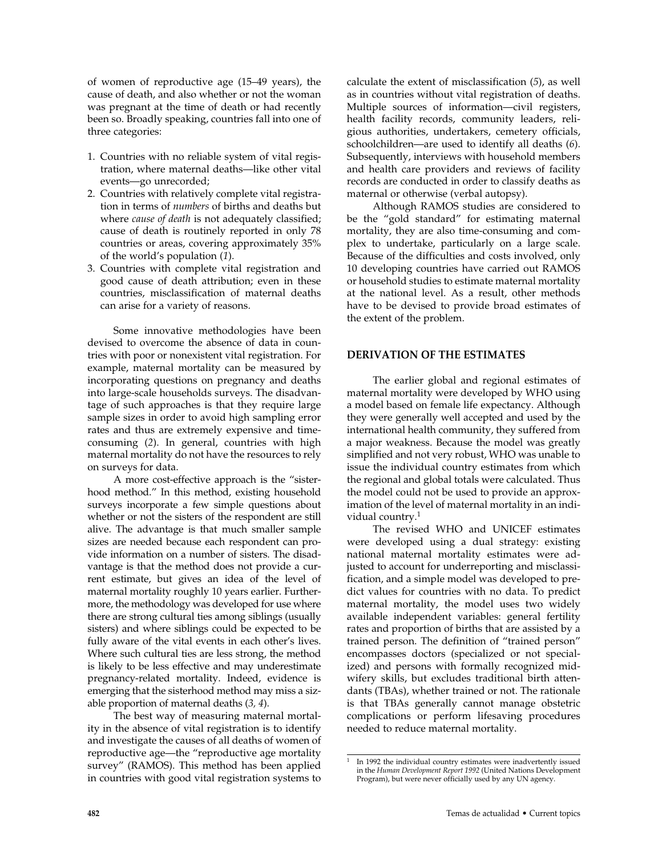of women of reproductive age (15–49 years), the cause of death, and also whether or not the woman was pregnant at the time of death or had recently been so. Broadly speaking, countries fall into one of three categories:

- 1. Countries with no reliable system of vital registration, where maternal deaths—like other vital events—go unrecorded;
- 2. Countries with relatively complete vital registration in terms of *numbers* of births and deaths but where *cause of death* is not adequately classified; cause of death is routinely reported in only 78 countries or areas, covering approximately 35% of the world's population (*1*).
- 3. Countries with complete vital registration and good cause of death attribution; even in these countries, misclassification of maternal deaths can arise for a variety of reasons.

Some innovative methodologies have been devised to overcome the absence of data in countries with poor or nonexistent vital registration. For example, maternal mortality can be measured by incorporating questions on pregnancy and deaths into large-scale households surveys. The disadvantage of such approaches is that they require large sample sizes in order to avoid high sampling error rates and thus are extremely expensive and timeconsuming (*2*). In general, countries with high maternal mortality do not have the resources to rely on surveys for data.

A more cost-effective approach is the "sisterhood method." In this method, existing household surveys incorporate a few simple questions about whether or not the sisters of the respondent are still alive. The advantage is that much smaller sample sizes are needed because each respondent can provide information on a number of sisters. The disadvantage is that the method does not provide a current estimate, but gives an idea of the level of maternal mortality roughly 10 years earlier. Furthermore, the methodology was developed for use where there are strong cultural ties among siblings (usually sisters) and where siblings could be expected to be fully aware of the vital events in each other's lives. Where such cultural ties are less strong, the method is likely to be less effective and may underestimate pregnancy-related mortality. Indeed, evidence is emerging that the sisterhood method may miss a sizable proportion of maternal deaths (*3, 4*).

The best way of measuring maternal mortality in the absence of vital registration is to identify and investigate the causes of all deaths of women of reproductive age—the "reproductive age mortality survey" (RAMOS). This method has been applied in countries with good vital registration systems to

calculate the extent of misclassification (*5*), as well as in countries without vital registration of deaths. Multiple sources of information—civil registers, health facility records, community leaders, religious authorities, undertakers, cemetery officials, schoolchildren—are used to identify all deaths (*6*). Subsequently, interviews with household members and health care providers and reviews of facility records are conducted in order to classify deaths as maternal or otherwise (verbal autopsy).

Although RAMOS studies are considered to be the "gold standard" for estimating maternal mortality, they are also time-consuming and complex to undertake, particularly on a large scale. Because of the difficulties and costs involved, only 10 developing countries have carried out RAMOS or household studies to estimate maternal mortality at the national level. As a result, other methods have to be devised to provide broad estimates of the extent of the problem.

## **DERIVATION OF THE ESTIMATES**

The earlier global and regional estimates of maternal mortality were developed by WHO using a model based on female life expectancy. Although they were generally well accepted and used by the international health community, they suffered from a major weakness. Because the model was greatly simplified and not very robust, WHO was unable to issue the individual country estimates from which the regional and global totals were calculated. Thus the model could not be used to provide an approximation of the level of maternal mortality in an individual country.<sup>1</sup>

The revised WHO and UNICEF estimates were developed using a dual strategy: existing national maternal mortality estimates were adjusted to account for underreporting and misclassification, and a simple model was developed to predict values for countries with no data. To predict maternal mortality, the model uses two widely available independent variables: general fertility rates and proportion of births that are assisted by a trained person. The definition of "trained person" encompasses doctors (specialized or not specialized) and persons with formally recognized midwifery skills, but excludes traditional birth attendants (TBAs), whether trained or not. The rationale is that TBAs generally cannot manage obstetric complications or perform lifesaving procedures needed to reduce maternal mortality.

<sup>1</sup> In 1992 the individual country estimates were inadvertently issued in the *Human Development Report 1992* (United Nations Development Program), but were never officially used by any UN agency.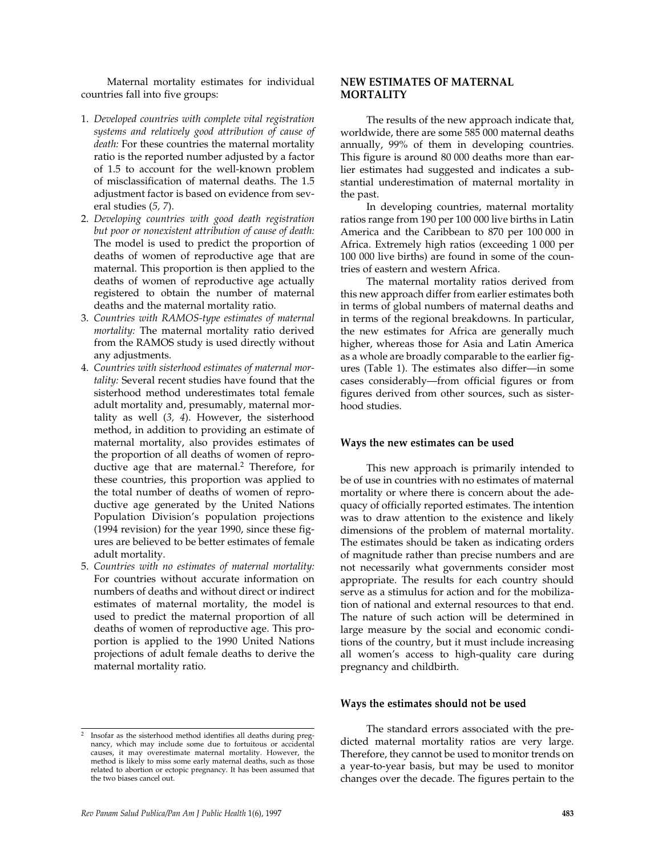Maternal mortality estimates for individual countries fall into five groups:

- 1. *Developed countries with complete vital registration systems and relatively good attribution of cause of death:* For these countries the maternal mortality ratio is the reported number adjusted by a factor of 1.5 to account for the well-known problem of misclassification of maternal deaths. The 1.5 adjustment factor is based on evidence from several studies (*5, 7*).
- 2. *Developing countries with good death registration but poor or nonexistent attribution of cause of death:* The model is used to predict the proportion of deaths of women of reproductive age that are maternal. This proportion is then applied to the deaths of women of reproductive age actually registered to obtain the number of maternal deaths and the maternal mortality ratio.
- 3. *Countries with RAMOS-type estimates of maternal mortality:* The maternal mortality ratio derived from the RAMOS study is used directly without any adjustments.
- 4. *Countries with sisterhood estimates of maternal mortality:* Several recent studies have found that the sisterhood method underestimates total female adult mortality and, presumably, maternal mortality as well (*3, 4*). However, the sisterhood method, in addition to providing an estimate of maternal mortality, also provides estimates of the proportion of all deaths of women of reproductive age that are maternal.2 Therefore, for these countries, this proportion was applied to the total number of deaths of women of reproductive age generated by the United Nations Population Division's population projections (1994 revision) for the year 1990, since these figures are believed to be better estimates of female adult mortality.
- 5. *Countries with no estimates of maternal mortality:* For countries without accurate information on numbers of deaths and without direct or indirect estimates of maternal mortality, the model is used to predict the maternal proportion of all deaths of women of reproductive age. This proportion is applied to the 1990 United Nations projections of adult female deaths to derive the maternal mortality ratio.

# **NEW ESTIMATES OF MATERNAL MORTALITY**

The results of the new approach indicate that, worldwide, there are some 585 000 maternal deaths annually, 99% of them in developing countries. This figure is around 80 000 deaths more than earlier estimates had suggested and indicates a substantial underestimation of maternal mortality in the past.

In developing countries, maternal mortality ratios range from 190 per 100 000 live births in Latin America and the Caribbean to 870 per 100 000 in Africa. Extremely high ratios (exceeding 1 000 per 100 000 live births) are found in some of the countries of eastern and western Africa.

The maternal mortality ratios derived from this new approach differ from earlier estimates both in terms of global numbers of maternal deaths and in terms of the regional breakdowns. In particular, the new estimates for Africa are generally much higher, whereas those for Asia and Latin America as a whole are broadly comparable to the earlier figures (Table 1). The estimates also differ—in some cases considerably—from official figures or from figures derived from other sources, such as sisterhood studies.

## **Ways the new estimates can be used**

This new approach is primarily intended to be of use in countries with no estimates of maternal mortality or where there is concern about the adequacy of officially reported estimates. The intention was to draw attention to the existence and likely dimensions of the problem of maternal mortality. The estimates should be taken as indicating orders of magnitude rather than precise numbers and are not necessarily what governments consider most appropriate. The results for each country should serve as a stimulus for action and for the mobilization of national and external resources to that end. The nature of such action will be determined in large measure by the social and economic conditions of the country, but it must include increasing all women's access to high-quality care during pregnancy and childbirth.

## **Ways the estimates should not be used**

The standard errors associated with the predicted maternal mortality ratios are very large. Therefore, they cannot be used to monitor trends on a year-to-year basis, but may be used to monitor changes over the decade. The figures pertain to the

<sup>2</sup> Insofar as the sisterhood method identifies all deaths during pregnancy, which may include some due to fortuitous or accidental causes, it may overestimate maternal mortality. However, the method is likely to miss some early maternal deaths, such as those related to abortion or ectopic pregnancy. It has been assumed that the two biases cancel out.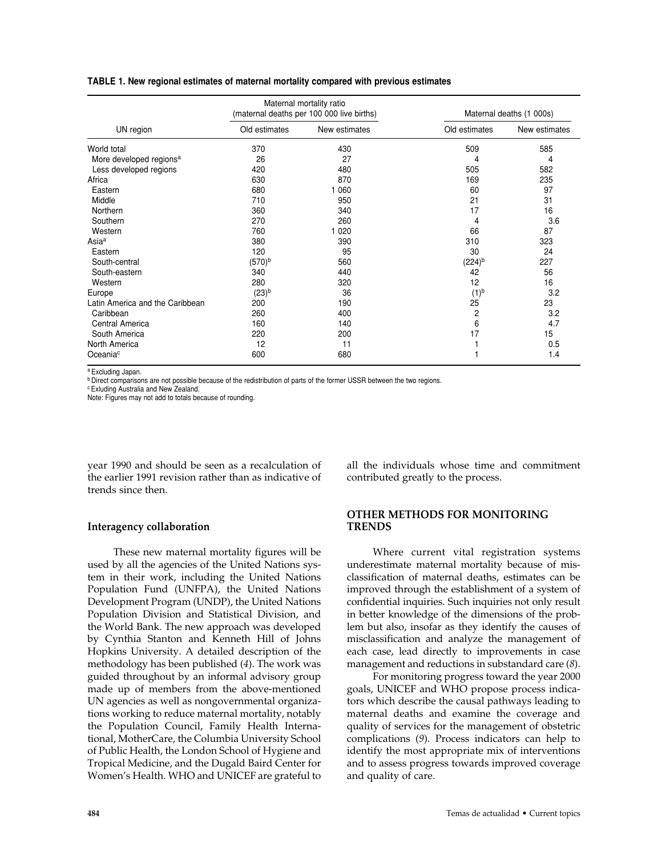#### **TABLE 1. New regional estimates of maternal mortality compared with previous estimates**

| UN region                           | Maternal mortality ratio<br>(maternal deaths per 100 000 live births) |               | Maternal deaths (1 000s) |               |
|-------------------------------------|-----------------------------------------------------------------------|---------------|--------------------------|---------------|
|                                     | Old estimates                                                         | New estimates | Old estimates            | New estimates |
| World total                         | 370                                                                   | 430           | 509                      | 585           |
| More developed regions <sup>a</sup> | 26                                                                    | 27            | 4                        | 4             |
| Less developed regions              | 420                                                                   | 480           | 505                      | 582           |
| Africa                              | 630                                                                   | 870           | 169                      | 235           |
| Eastern                             | 680                                                                   | 1 0 6 0       | 60                       | 97            |
| Middle                              | 710                                                                   | 950           | 21                       | 31            |
| Northern                            | 360                                                                   | 340           | 17                       | 16            |
| Southern                            | 270                                                                   | 260           | 4                        | 3.6           |
| Western                             | 760                                                                   | 1 0 2 0       | 66                       | 87            |
| Asia <sup>a</sup>                   | 380                                                                   | 390           | 310                      | 323           |
| Eastern                             | 120                                                                   | 95            | 30                       | 24            |
| South-central                       | (570) <sup>b</sup>                                                    | 560           | $(224)^{b}$              | 227           |
| South-eastern                       | 340                                                                   | 440           | 42                       | 56            |
| Western                             | 280                                                                   | 320           | 12                       | 16            |
| Europe                              | $(23)^{b}$                                                            | 36            | $(1)^{b}$                | 3.2           |
| Latin America and the Caribbean     | 200                                                                   | 190           | 25                       | 23            |
| Caribbean                           | 260                                                                   | 400           | 2                        | 3.2           |
| Central America                     | 160                                                                   | 140           | 6                        | 4.7           |
| South America                       | 220                                                                   | 200           | 17                       | 15            |
| North America                       | 12                                                                    | 11            |                          | 0.5           |
| Oceania <sup>c</sup>                | 600                                                                   | 680           |                          | 1.4           |

<sup>a</sup> Excluding Japan.

<sup>b</sup> Direct comparisons are not possible because of the redistribution of parts of the former USSR between the two regions.

<sup>c</sup> Exluding Australia and New Zealand.

Note: Figures may not add to totals because of rounding.

year 1990 and should be seen as a recalculation of the earlier 1991 revision rather than as indicative of trends since then.

#### **Interagency collaboration**

These new maternal mortality figures will be used by all the agencies of the United Nations system in their work, including the United Nations Population Fund (UNFPA), the United Nations Development Program (UNDP), the United Nations Population Division and Statistical Division, and the World Bank. The new approach was developed by Cynthia Stanton and Kenneth Hill of Johns Hopkins University. A detailed description of the methodology has been published (*4*). The work was guided throughout by an informal advisory group made up of members from the above-mentioned UN agencies as well as nongovernmental organizations working to reduce maternal mortality, notably the Population Council, Family Health International, MotherCare, the Columbia University School of Public Health, the London School of Hygiene and Tropical Medicine, and the Dugald Baird Center for Women's Health. WHO and UNICEF are grateful to

all the individuals whose time and commitment contributed greatly to the process.

# **OTHER METHODS FOR MONITORING TRENDS**

Where current vital registration systems underestimate maternal mortality because of misclassification of maternal deaths, estimates can be improved through the establishment of a system of confidential inquiries. Such inquiries not only result in better knowledge of the dimensions of the problem but also, insofar as they identify the causes of misclassification and analyze the management of each case, lead directly to improvements in case management and reductions in substandard care (*8*).

For monitoring progress toward the year 2000 goals, UNICEF and WHO propose process indicators which describe the causal pathways leading to maternal deaths and examine the coverage and quality of services for the management of obstetric complications (*9*). Process indicators can help to identify the most appropriate mix of interventions and to assess progress towards improved coverage and quality of care.